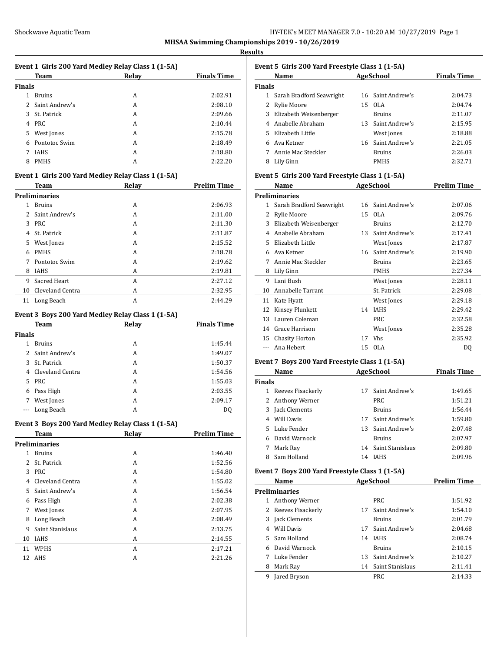## **Results**

| Event 1 Girls 200 Yard Medley Relay Class 1 (1-5A) |                      |                                                    |                    |  |  |
|----------------------------------------------------|----------------------|----------------------------------------------------|--------------------|--|--|
|                                                    | Team                 | Relay                                              | <b>Finals Time</b> |  |  |
| <b>Finals</b>                                      |                      |                                                    |                    |  |  |
|                                                    | 1 Bruins             | A                                                  | 2:02.91            |  |  |
|                                                    | 2 Saint Andrew's     | A                                                  | 2:08.10            |  |  |
|                                                    | 3 St. Patrick        | A                                                  | 2:09.66            |  |  |
|                                                    | 4 PRC                | A                                                  | 2:10.44            |  |  |
|                                                    | 5 West Jones         | A                                                  | 2:15.78            |  |  |
|                                                    | 6 Pontotoc Swim      | A                                                  | 2:18.49            |  |  |
|                                                    | 7 IAHS               | A                                                  | 2:18.80            |  |  |
|                                                    | 8 PMHS               | А                                                  | 2:22.20            |  |  |
|                                                    |                      | Event 1 Girls 200 Yard Medley Relay Class 1 (1-5A) |                    |  |  |
|                                                    | Team                 | <b>Relay</b>                                       | <b>Prelim Time</b> |  |  |
|                                                    | <b>Preliminaries</b> |                                                    |                    |  |  |
|                                                    | 1 Bruins             | А                                                  | 2:06.93            |  |  |
|                                                    | 2 Saint Andrew's     | A                                                  | 2:11.00            |  |  |
|                                                    | 3 PRC                | A                                                  | 2:11.30            |  |  |
|                                                    | 4 St. Patrick        | A                                                  | 2:11.87            |  |  |
|                                                    | 5 West Jones         | A                                                  | 2:15.52            |  |  |
|                                                    | 6 PMHS               | A                                                  | 2:18.78            |  |  |
|                                                    | 7 Pontotoc Swim      | А                                                  | 2:19.62            |  |  |
|                                                    | 8 IAHS               | А                                                  | 2:19.81            |  |  |
|                                                    | 9 Sacred Heart       | А                                                  | 2:27.12            |  |  |
|                                                    | 10 Cleveland Centra  |                                                    |                    |  |  |
|                                                    |                      | A                                                  | 2:32.95            |  |  |
|                                                    | 11 Long Beach        | A                                                  | 2:44.29            |  |  |
|                                                    |                      | Event 3 Boys 200 Yard Medley Relay Class 1 (1-5A)  |                    |  |  |
|                                                    | Team                 | Relay                                              | <b>Finals Time</b> |  |  |
| <b>Finals</b>                                      |                      |                                                    |                    |  |  |
|                                                    | 1 Bruins             | A                                                  | 1:45.44            |  |  |
|                                                    | 2 Saint Andrew's     | A                                                  | 1:49.07            |  |  |
|                                                    | 3 St. Patrick        | A                                                  | 1:50.37            |  |  |
|                                                    | 4 Cleveland Centra   | A                                                  | 1:54.56            |  |  |
|                                                    | 5 PRC                | A                                                  | 1:55.03            |  |  |
|                                                    | 6 Pass High          | A                                                  | 2:03.55            |  |  |
|                                                    | 7 West Jones         | А                                                  | 2:09.17            |  |  |
|                                                    | --- Long Beach       | А                                                  | DQ                 |  |  |
|                                                    |                      |                                                    |                    |  |  |
|                                                    |                      | Event 3 Boys 200 Yard Medley Relay Class 1 (1-5A)  |                    |  |  |
|                                                    | <b>Team</b>          | <b>Relay</b>                                       | <b>Prelim Time</b> |  |  |
|                                                    | <b>Preliminaries</b> |                                                    |                    |  |  |
|                                                    | 1 Bruins             | A                                                  | 1:46.40            |  |  |
| 2                                                  | St. Patrick          | A                                                  | 1:52.56            |  |  |
|                                                    | 3 PRC                | A                                                  | 1:54.80            |  |  |
|                                                    | 4 Cleveland Centra   | A                                                  | 1:55.02            |  |  |
| 5                                                  | Saint Andrew's       | A                                                  | 1:56.54            |  |  |
|                                                    | 6 Pass High          | A                                                  | 2:02.38            |  |  |
| $7^{\circ}$                                        | West Jones           | A                                                  | 2:07.95            |  |  |
| 8                                                  | Long Beach           | А                                                  | 2:08.49            |  |  |
| 9                                                  | Saint Stanislaus     | A                                                  | 2:13.75            |  |  |
|                                                    | 10 IAHS              | A                                                  | 2:14.55            |  |  |
| 11                                                 | WPHS                 | А                                                  | 2:17.21            |  |  |
| 12                                                 | AHS                  | A                                                  | 2:21.26            |  |  |
|                                                    |                      |                                                    |                    |  |  |

|               | Name                                            |    | Event 5 Girls 200 Yard Freestyle Class 1 (1-5A)<br><b>AgeSchool</b> | <b>Finals Time</b>            |
|---------------|-------------------------------------------------|----|---------------------------------------------------------------------|-------------------------------|
| <b>Finals</b> |                                                 |    |                                                                     |                               |
|               | 1 Sarah Bradford Seawright                      |    | 16 Saint Andrew's                                                   | 2:04.73                       |
|               | 2 Rylie Moore                                   |    | 15 OLA                                                              | 2:04.74                       |
|               | 3 Elizabeth Weisenberger                        |    | <b>Bruins</b>                                                       | 2:11.07                       |
|               | 4 Anabelle Abraham                              |    | 13 Saint Andrew's                                                   | 2:15.95                       |
|               | 5 Elizabeth Little                              |    | West Jones                                                          | 2:18.88                       |
|               | 6 Ava Ketner                                    |    | 16 Saint Andrew's                                                   | 2:21.05                       |
|               | 7 Annie Mac Steckler                            |    | <b>Bruins</b>                                                       | 2:26.03                       |
|               | 8 Lily Ginn                                     |    | <b>PMHS</b>                                                         | 2:32.71                       |
|               | Event 5 Girls 200 Yard Freestyle Class 1 (1-5A) |    |                                                                     |                               |
|               | Name                                            |    | <b>AgeSchool</b>                                                    | <b>Prelim Time</b>            |
|               | <b>Preliminaries</b>                            |    |                                                                     |                               |
|               | 1 Sarah Bradford Seawright                      |    | 16 Saint Andrew's                                                   | 2:07.06                       |
|               | 2 Rylie Moore                                   |    | 15 OLA                                                              | 2:09.76                       |
|               | 3 Elizabeth Weisenberger                        |    | <b>Bruins</b>                                                       | 2:12.70                       |
|               | 4 Anabelle Abraham                              |    | 13 Saint Andrew's                                                   | 2:17.41                       |
|               | 5 Elizabeth Little                              |    | West Jones                                                          | 2:17.87                       |
|               | 6 Ava Ketner                                    |    | 16 Saint Andrew's                                                   | 2:19.90                       |
|               | 7 Annie Mac Steckler                            |    | <b>Bruins</b>                                                       | 2:23.65                       |
|               | 8 Lily Ginn                                     |    | <b>PMHS</b>                                                         | 2:27.34                       |
|               | 9 Lani Bush                                     |    | West Jones                                                          | 2:28.11                       |
|               | 10 Annabelle Tarrant                            |    | St. Patrick                                                         | 2:29.08                       |
|               | 11 Kate Hyatt                                   |    | West Jones                                                          | 2:29.18                       |
|               | 12 Kinsey Plunkett                              |    | 14 IAHS                                                             | 2:29.42                       |
|               | 13 Lauren Coleman                               |    | <b>PRC</b>                                                          | 2:32.58                       |
|               | 14 Grace Harrison                               |    | West Jones                                                          | 2:35.28                       |
|               | 15 Chasity Horton                               |    | 17 Vhs                                                              | 2:35.92                       |
|               | Ana Hebert                                      |    | 15 OLA                                                              | DQ                            |
| $---$         |                                                 |    |                                                                     |                               |
|               | Event 7 Boys 200 Yard Freestyle Class 1 (1-5A)  |    |                                                                     |                               |
|               | AgeSchool<br>Name                               |    |                                                                     |                               |
|               |                                                 |    |                                                                     |                               |
|               | 1 Reeves Fisackerly                             |    | 17 Saint Andrew's                                                   | 1:49.65                       |
|               | 2 Anthony Werner                                |    | <b>PRC</b>                                                          | 1:51.21                       |
|               | 3 Jack Clements                                 |    | <b>Bruins</b>                                                       | 1:56.44                       |
|               | 4 Will Davis                                    |    | 17 Saint Andrew's                                                   | 1:59.80                       |
|               | 5 Luke Fender                                   |    | 13 Saint Andrew's                                                   | 2:07.48                       |
|               | 6 David Warnock                                 |    | <b>Bruins</b>                                                       | 2:07.97                       |
|               | 7 Mark Ray                                      |    | 14 Saint Stanislaus                                                 | 2:09.80                       |
|               | 8 Sam Holland                                   |    | 14 IAHS                                                             |                               |
|               | Event 7 Boys 200 Yard Freestyle Class 1 (1-5A)  |    |                                                                     | <b>Finals Time</b><br>2:09.96 |
|               | Name                                            |    | <b>AgeSchool</b>                                                    | <b>Prelim Time</b>            |
|               | <b>Preliminaries</b>                            |    |                                                                     |                               |
|               | 1 Anthony Werner                                |    | PRC                                                                 | 1:51.92                       |
|               | 2 Reeves Fisackerly                             | 17 | Saint Andrew's                                                      | 1:54.10                       |
|               | 3 Jack Clements                                 |    | <b>Bruins</b>                                                       |                               |
|               | 4 Will Davis                                    |    | 17 Saint Andrew's                                                   |                               |
|               | 5 Sam Holland                                   |    | 14 IAHS                                                             | 2:01.79<br>2:04.68<br>2:08.74 |
|               | 6 David Warnock                                 |    | <b>Bruins</b>                                                       |                               |
| <b>Finals</b> | 7 Luke Fender<br>8 Mark Ray                     |    | 13 Saint Andrew's<br>14 Saint Stanislaus                            | 2:10.15<br>2:10.27<br>2:11.41 |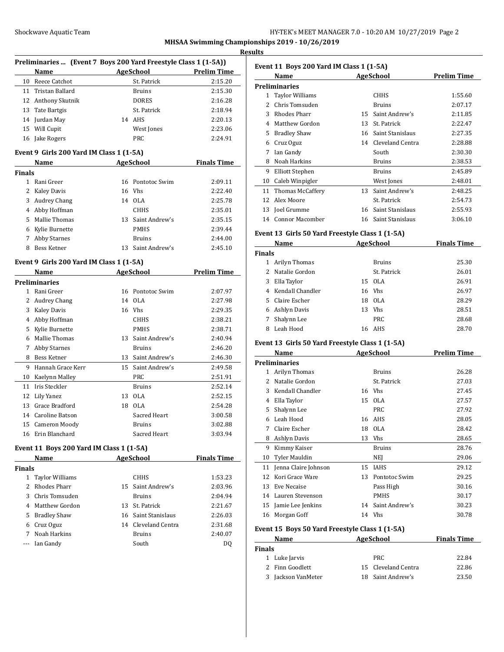### **Results**

| Preliminaries  (Event 7 Boys 200 Yard Freestyle Class 1 (1-5A)) |                                          |    |                  |                    |  |
|-----------------------------------------------------------------|------------------------------------------|----|------------------|--------------------|--|
|                                                                 | Name                                     |    | <b>AgeSchool</b> | Prelim Time        |  |
| 10                                                              | Reece Catchot                            |    | St. Patrick      | 2:15.20            |  |
| 11                                                              | Tristan Ballard                          |    | Bruins           | 2:15.30            |  |
| 12                                                              | Anthony Skutnik                          |    | <b>DORES</b>     | 2:16.28            |  |
| 13                                                              | Tate Bartgis                             |    | St. Patrick      | 2:18.94            |  |
| 14                                                              | Jurdan May                               | 14 | AHS              | 2:20.13            |  |
| 15                                                              | Will Cupit                               |    | West Jones       | 2:23.06            |  |
| 16                                                              | Jake Rogers                              |    | <b>PRC</b>       | 2:24.91            |  |
|                                                                 | Event 9 Girls 200 Yard IM Class 1 (1-5A) |    |                  |                    |  |
|                                                                 | Name                                     |    | <b>AgeSchool</b> | <b>Finals Time</b> |  |
| <b>Finals</b>                                                   |                                          |    |                  |                    |  |
| 1                                                               | Rani Greer                               | 16 | Pontotoc Swim    | 2:09.11            |  |
| 2                                                               | Kaley Davis                              | 16 | Vhs              | 2:22.40            |  |
| 3                                                               | <b>Audrey Chang</b>                      | 14 | <b>OLA</b>       | 2:25.78            |  |
| 4                                                               | Abby Hoffman                             |    | <b>CHHS</b>      | 2:35.01            |  |
| 5                                                               | Mallie Thomas                            | 13 | Saint Andrew's   | 2:35.15            |  |
| 6                                                               | Kylie Burnette                           |    | <b>PMHS</b>      | 2:39.44            |  |
| 7                                                               | <b>Abby Starnes</b>                      |    | <b>Bruins</b>    | 2:44.00            |  |

8 Bess Ketner 13 Saint Andrew's 2:45.10

### **Event 9 Girls 200 Yard IM Class 1 (1-5A)**

|    | Name                 | <b>AgeSchool</b> |                | <b>Prelim Time</b> |
|----|----------------------|------------------|----------------|--------------------|
|    | <b>Preliminaries</b> |                  |                |                    |
| 1  | Rani Greer           | 16               | Pontotoc Swim  | 2:07.97            |
| 2  | <b>Audrey Chang</b>  | 14               | 0LA            | 2:27.98            |
| 3  | <b>Kaley Davis</b>   | 16               | <b>Vhs</b>     | 2:29.35            |
| 4  | Abby Hoffman         |                  | <b>CHHS</b>    | 2:38.21            |
| 5  | Kylie Burnette       |                  | <b>PMHS</b>    | 2:38.71            |
| 6  | Mallie Thomas        | 13               | Saint Andrew's | 2:40.94            |
| 7  | <b>Abby Starnes</b>  |                  | <b>Bruins</b>  | 2:46.20            |
| 8  | Bess Ketner          | 13               | Saint Andrew's | 2:46.30            |
| 9  | Hannah Grace Kerr    | 15               | Saint Andrew's | 2:49.58            |
| 10 | Kaelynn Malley       |                  | <b>PRC</b>     | 2:51.91            |
| 11 | Iris Steckler        |                  | <b>Bruins</b>  | 2:52.14            |
| 12 | Lily Yanez           | 13               | <b>OLA</b>     | 2:52.15            |
| 13 | Grace Bradford       | 18               | <b>OLA</b>     | 2:54.28            |
| 14 | Caroline Batson      |                  | Sacred Heart   | 3:00.58            |
| 15 | Cameron Moody        |                  | <b>Bruins</b>  | 3:02.88            |
| 16 | Erin Blanchard       |                  | Sacred Heart   | 3:03.94            |

## **Event 11 Boys 200 Yard IM Class 1 (1-5A)**

|               | <b>Name</b>      | AgeSchool |                     | <b>Finals Time</b> |
|---------------|------------------|-----------|---------------------|--------------------|
| <b>Finals</b> |                  |           |                     |                    |
| 1             | Taylor Williams  |           | <b>CHHS</b>         | 1:53.23            |
|               | 2 Rhodes Pharr   |           | 15 Saint Andrew's   | 2:03.96            |
|               | 3 Chris Tomsuden |           | <b>Bruins</b>       | 2:04.94            |
|               | 4 Matthew Gordon |           | 13 St. Patrick      | 2:21.67            |
| 5.            | Bradley Shaw     |           | 16 Saint Stanislaus | 2:26.03            |
| 6             | Cruz Oguz        | 14        | Cleveland Centra    | 2:31.68            |
| 7             | Noah Harkins     |           | <b>Bruins</b>       | 2:40.07            |
|               | --- Ian Gandy    |           | South               | D <sub>0</sub>     |

| Event 11 Boys 200 Yard IM Class 1 (1-5A) |                     |     |                  |             |  |  |
|------------------------------------------|---------------------|-----|------------------|-------------|--|--|
|                                          | Name                |     | AgeSchool        | Prelim Time |  |  |
|                                          | Preliminaries       |     |                  |             |  |  |
| $\mathbf{1}$                             | Taylor Williams     |     | <b>CHHS</b>      | 1:55.60     |  |  |
| 2                                        | Chris Tomsuden      |     | <b>Bruins</b>    | 2:07.17     |  |  |
| 3                                        | <b>Rhodes Pharr</b> | 15. | Saint Andrew's   | 2:11.85     |  |  |
| 4                                        | Matthew Gordon      | 13  | St. Patrick      | 2:22.47     |  |  |
| 5                                        | <b>Bradley Shaw</b> | 16  | Saint Stanislaus | 2:27.35     |  |  |
| 6                                        | Cruz Oguz           | 14  | Cleveland Centra | 2:28.88     |  |  |
| 7                                        | Ian Gandy           |     | South            | 2:30.30     |  |  |
| 8                                        | Noah Harkins        |     | <b>Bruins</b>    | 2:38.53     |  |  |
| 9                                        | Elliott Stephen     |     | <b>Bruins</b>    | 2:45.89     |  |  |
| 10                                       | Caleb Winpigler     |     | West Jones       | 2:48.01     |  |  |
| 11                                       | Thomas McCaffery    | 13  | Saint Andrew's   | 2:48.25     |  |  |
| 12                                       | Alex Moore          |     | St. Patrick      | 2:54.73     |  |  |
| 13                                       | Joel Grumme         | 16  | Saint Stanislaus | 2:55.93     |  |  |
| 14                                       | Connor Macomber     | 16  | Saint Stanislaus | 3:06.10     |  |  |
|                                          |                     |     |                  |             |  |  |

# **Event 13 Girls 50 Yard Freestyle Class 1 (1-5A)**

|               | Name               | AgeSchool |               | <b>Finals Time</b> |
|---------------|--------------------|-----------|---------------|--------------------|
| <b>Finals</b> |                    |           |               |                    |
|               | Arilyn Thomas      |           | <b>Bruins</b> | 25.30              |
| 2             | Natalie Gordon     |           | St. Patrick   | 26.01              |
| 3             | Ella Taylor        |           | 15 OLA        | 26.91              |
|               | 4 Kendall Chandler |           | 16 Vhs        | 26.97              |
| 5.            | Claire Escher      |           | 18 OLA        | 28.29              |
| 6             | Ashlyn Davis       | 13        | Vhs           | 28.51              |
|               | Shalynn Lee        |           | <b>PRC</b>    | 28.68              |
| 8             | Leah Hood          | 16        | AHS           | 28.70              |

### **Event 13 Girls 50 Yard Freestyle Class 1 (1-5A)**

|    | Name                 |                         | <b>AgeSchool</b> | <b>Prelim Time</b> |
|----|----------------------|-------------------------|------------------|--------------------|
|    | <b>Preliminaries</b> |                         |                  |                    |
| 1  | Arilyn Thomas        |                         | <b>Bruins</b>    | 26.28              |
| 2  | Natalie Gordon       |                         | St. Patrick      | 27.03              |
| 3  | Kendall Chandler     |                         | 16 Vhs           | 27.45              |
| 4  | Ella Taylor          | 15                      | 0LA              | 27.57              |
| 5  | Shalynn Lee          |                         | <b>PRC</b>       | 27.92              |
| 6  | Leah Hood            | 16                      | AHS              | 28.05              |
| 7  | Claire Escher        | 18                      | OLA.             | 28.42              |
| 8  | Ashlyn Davis         | 13                      | <b>Vhs</b>       | 28.65              |
| 9  | Kimmy Kaiser         |                         | <b>Bruins</b>    | 28.76              |
| 10 | <b>Tyler Mauldin</b> |                         | <b>NEI</b>       | 29.06              |
| 11 | Jenna Claire Johnson | 15                      | <b>IAHS</b>      | 29.12              |
| 12 | Kori Grace Ware      | 13                      | Pontotoc Swim    | 29.25              |
| 13 | Eve Necaise          |                         | Pass High        | 30.16              |
| 14 | Lauren Stevenson     |                         | <b>PMHS</b>      | 30.17              |
| 15 | Jamie Lee Jenkins    | 14                      | Saint Andrew's   | 30.23              |
| 16 | Morgan Goff          |                         | 14 Vhs           | 30.78              |
| -  | ----<br>. .          | $\sim$<br>$\sim$ $\sim$ | .                |                    |

## **Event 15 Boys 50 Yard Freestyle Class 1 (1-5A)**

| Name          |                  | AgeSchool           | <b>Finals Time</b> |  |
|---------------|------------------|---------------------|--------------------|--|
| <b>Finals</b> |                  |                     |                    |  |
|               | 1 Luke Jarvis    | PRC.                | 22.84              |  |
|               | 2 Finn Goodlett  | 15 Cleveland Centra | 22.86              |  |
| 3             | Jackson VanMeter | 18 Saint Andrew's   | 23.50              |  |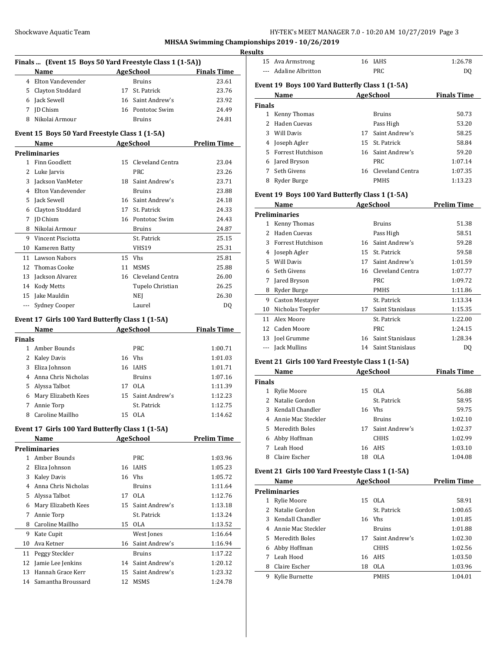| HY-TEK's MEET MANAGER 7.0 - 10:20 AM 10/27/2019 Page 3 |  |  |  |
|--------------------------------------------------------|--|--|--|
|--------------------------------------------------------|--|--|--|

|               | Finals  (Event 15 Boys 50 Yard Freestyle Class 1 (1-5A))                                                                                                                                                                       |                                                  |                    |
|---------------|--------------------------------------------------------------------------------------------------------------------------------------------------------------------------------------------------------------------------------|--------------------------------------------------|--------------------|
|               | Name<br><u> 1980 - Johann Barbara, martxa</u>                                                                                                                                                                                  | AgeSchool                                        | <b>Finals Time</b> |
|               | 4 Elton Vandevender<br>5 Clayton Stoddard                                                                                                                                                                                      | <b>Bruins</b><br>17 St. Patrick                  | 23.61<br>23.76     |
|               |                                                                                                                                                                                                                                |                                                  |                    |
|               | 6 Jack Sewell                                                                                                                                                                                                                  | 16 Saint Andrew's                                | 23.92              |
|               | 7 JD Chism                                                                                                                                                                                                                     | 16 Pontotoc Swim                                 | 24.49              |
|               | 8 Nikolai Armour                                                                                                                                                                                                               | <b>Bruins</b>                                    | 24.81              |
|               | Event 15 Boys 50 Yard Freestyle Class 1 (1-5A)                                                                                                                                                                                 |                                                  |                    |
|               | Name                                                                                                                                                                                                                           | <b>Example 2018</b> AgeSchool <b>Prelim Time</b> |                    |
|               | <b>Preliminaries</b>                                                                                                                                                                                                           |                                                  |                    |
|               | 1 Finn Goodlett                                                                                                                                                                                                                | 15 Cleveland Centra                              | 23.04              |
|               | 2 Luke Jarvis                                                                                                                                                                                                                  | <b>PRC</b>                                       | 23.26              |
|               | 3 Jackson VanMeter                                                                                                                                                                                                             | 18 Saint Andrew's                                | 23.71              |
|               | 4 Elton Vandevender                                                                                                                                                                                                            | <b>Bruins</b>                                    | 23.88              |
|               | 5 Jack Sewell                                                                                                                                                                                                                  | 16 Saint Andrew's                                | 24.18              |
|               | 6 Clayton Stoddard                                                                                                                                                                                                             | 17 St. Patrick                                   | 24.33              |
|               | 7 JD Chism                                                                                                                                                                                                                     | 16 Pontotoc Swim                                 | 24.43              |
|               | 8 Nikolai Armour                                                                                                                                                                                                               | <b>Bruins</b>                                    | 24.87              |
|               | 9 Vincent Pisciotta                                                                                                                                                                                                            | St. Patrick                                      | 25.15              |
|               | 10 Kameren Batty                                                                                                                                                                                                               | VHS19                                            | 25.31              |
|               | 11 Lawson Nabors                                                                                                                                                                                                               | 15 Vhs                                           | 25.81              |
|               | 12 Thomas Cooke                                                                                                                                                                                                                | 11 MSMS                                          | 25.88              |
|               | 13 Jackson Alvarez                                                                                                                                                                                                             | 16 Cleveland Centra                              | 26.00              |
|               | 14 Kody Metts                                                                                                                                                                                                                  | Tupelo Christian                                 | 26.25              |
|               | 15 Jake Mauldin                                                                                                                                                                                                                | NEJ                                              | 26.30              |
| $\ldots$      | Sydney Cooper                                                                                                                                                                                                                  | Laurel                                           | DQ                 |
|               | Event 17 Girls 100 Yard Butterfly Class 1 (1-5A)                                                                                                                                                                               |                                                  |                    |
|               | Name and the state of the state of the state of the state of the state of the state of the state of the state of the state of the state of the state of the state of the state of the state of the state of the state of the s | AgeSchool                                        | <b>Finals Time</b> |
| <b>Finals</b> |                                                                                                                                                                                                                                |                                                  |                    |
|               | 1 Amber Bounds                                                                                                                                                                                                                 | <b>PRC</b>                                       | 1:00.71            |
|               | 2 Kaley Davis                                                                                                                                                                                                                  | 16 Vhs                                           | 1:01.03            |
|               | 3 Eliza Johnson                                                                                                                                                                                                                | 16 IAHS                                          | 1:01.71            |
|               | 4 Anna Chris Nicholas                                                                                                                                                                                                          | <b>Bruins</b>                                    | 1:07.16            |
|               | 5 Alyssa Talbot                                                                                                                                                                                                                | 17 OLA                                           | 1:11.39            |
|               | 6 Mary Elizabeth Kees                                                                                                                                                                                                          | 15 Saint Andrew's                                | 1:12.23            |
|               | 7 Annie Torp                                                                                                                                                                                                                   | St. Patrick                                      | 1:12.75            |
|               | 8 Caroline Maillho                                                                                                                                                                                                             | 15 OLA                                           | 1:14.62            |
|               | Event 17 Girls 100 Yard Butterfly Class 1 (1-5A)                                                                                                                                                                               |                                                  |                    |
|               | Name                                                                                                                                                                                                                           | AgeSchool                                        | <b>Prelim Time</b> |
|               | <b>Preliminaries</b>                                                                                                                                                                                                           |                                                  |                    |
|               | 1 Amber Bounds                                                                                                                                                                                                                 | PRC                                              | 1:03.96            |
|               | 2 Eliza Johnson                                                                                                                                                                                                                | 16 IAHS                                          | 1:05.23            |
|               | 3 Kaley Davis                                                                                                                                                                                                                  | 16 Vhs                                           | 1:05.72            |
|               | 4 Anna Chris Nicholas                                                                                                                                                                                                          | <b>Bruins</b>                                    | 1:11.64            |
|               | 5 Alyssa Talbot                                                                                                                                                                                                                | 17 OLA                                           | 1:12.76            |
|               | 6 Mary Elizabeth Kees                                                                                                                                                                                                          | 15 Saint Andrew's                                | 1:13.18            |
| 7             | Annie Torp                                                                                                                                                                                                                     | St. Patrick                                      | 1:13.24            |
|               | 8 Caroline Maillho                                                                                                                                                                                                             | 15 OLA                                           | 1:13.52            |
| 9             | Kate Cupit                                                                                                                                                                                                                     | West Jones                                       | 1:16.64            |
| 10            | Ava Ketner                                                                                                                                                                                                                     | 16 Saint Andrew's                                | 1:16.94            |
|               |                                                                                                                                                                                                                                |                                                  |                    |
| 11            | Peggy Steckler                                                                                                                                                                                                                 | <b>Bruins</b>                                    | 1:17.22            |
| 12            | Jamie Lee Jenkins                                                                                                                                                                                                              | 14 Saint Andrew's                                | 1:20.12            |
| 13            | Hannah Grace Kerr                                                                                                                                                                                                              | 15 Saint Andrew's                                | 1:23.32            |
| 14            | Samantha Broussard                                                                                                                                                                                                             | 12 MSMS                                          | 1:24.78            |

|               | 15 Ava Armstrong                                | 16 | <b>IAHS</b>         | 1:26.78            |
|---------------|-------------------------------------------------|----|---------------------|--------------------|
|               | <b>Adaline Albritton</b>                        |    | <b>PRC</b>          | DO.                |
|               | Event 19 Boys 100 Yard Butterfly Class 1 (1-5A) |    |                     |                    |
|               | Name                                            |    | <b>AgeSchool</b>    | <b>Finals Time</b> |
| <b>Finals</b> |                                                 |    |                     |                    |
| 1             | Kenny Thomas                                    |    | <b>Bruins</b>       | 50.73              |
| 2             | Haden Cuevas                                    |    | Pass High           | 53.20              |
| 3             | <b>Will Davis</b>                               | 17 | Saint Andrew's      | 58.25              |
| 4             | Joseph Agler                                    | 15 | St. Patrick         | 58.84              |
| 5             | <b>Forrest Hutchison</b>                        | 16 | Saint Andrew's      | 59.20              |
| 6             | Jared Bryson                                    |    | PRC                 | 1:07.14            |
| 7             | Seth Givens                                     |    | 16 Cleveland Centra | 1:07.35            |
| 8             | Ryder Burge                                     |    | <b>PMHS</b>         | 1:13.23            |
|               | Event 19 Boys 100 Yard Butterfly Class 1 (1-5A) |    |                     |                    |

|    | Name                   |    | AgeSchool        | <b>Prelim Time</b> |
|----|------------------------|----|------------------|--------------------|
|    | <b>Preliminaries</b>   |    |                  |                    |
| 1  | Kenny Thomas           |    | <b>Bruins</b>    | 51.38              |
| 2  | Haden Cuevas           |    | Pass High        | 58.51              |
| 3  | Forrest Hutchison      | 16 | Saint Andrew's   | 59.28              |
| 4  | Joseph Agler           | 15 | St. Patrick      | 59.58              |
| 5. | <b>Will Davis</b>      | 17 | Saint Andrew's   | 1:01.59            |
| 6  | Seth Givens            | 16 | Cleveland Centra | 1:07.77            |
| 7  | Jared Bryson           |    | <b>PRC</b>       | 1:09.72            |
| 8  | Ryder Burge            |    | <b>PMHS</b>      | 1:11.86            |
| 9  | <b>Caston Mestayer</b> |    | St. Patrick      | 1:13.34            |
| 10 | Nicholas Toepfer       | 17 | Saint Stanislaus | 1:15.35            |
| 11 | Alex Moore             |    | St. Patrick      | 1:22.00            |
| 12 | Caden Moore            |    | <b>PRC</b>       | 1:24.15            |
| 13 | Joel Grumme            | 16 | Saint Stanislaus | 1:28.34            |
|    | Jack Mullins           | 14 | Saint Stanislaus | DO.                |
|    |                        |    |                  |                    |

# **Event 21 Girls 100 Yard Freestyle Class 1 (1-5A)**

|               | Name                 | <b>AgeSchool</b> |                | <b>Finals Time</b> |
|---------------|----------------------|------------------|----------------|--------------------|
| <b>Finals</b> |                      |                  |                |                    |
|               | Rylie Moore          |                  | 15 OLA         | 56.88              |
|               | 2 Natalie Gordon     |                  | St. Patrick    | 58.95              |
|               | 3 Kendall Chandler   |                  | 16 Vhs         | 59.75              |
|               | 4 Annie Mac Steckler |                  | <b>Bruins</b>  | 1:02.10            |
|               | 5 Meredith Boles     | 17               | Saint Andrew's | 1:02.37            |
| 6             | Abby Hoffman         |                  | <b>CHHS</b>    | 1:02.99            |
|               | Leah Hood            |                  | 16 AHS         | 1:03.10            |
| 8             | Claire Escher        | 18               | OLA            | 1:04.08            |

# **Event 21 Girls 100 Yard Freestyle Class 1 (1-5A)**

|   | Name                 | AgeSchool |                | <b>Prelim Time</b> |
|---|----------------------|-----------|----------------|--------------------|
|   | <b>Preliminaries</b> |           |                |                    |
|   | Rylie Moore          |           | 15 OLA         | 58.91              |
|   | 2 Natalie Gordon     |           | St. Patrick    | 1:00.65            |
|   | 3 Kendall Chandler   |           | 16 Vhs         | 1:01.85            |
|   | 4 Annie Mac Steckler |           | <b>Bruins</b>  | 1:01.88            |
|   | 5 Meredith Boles     | 17        | Saint Andrew's | 1:02.30            |
| 6 | Abby Hoffman         |           | <b>CHHS</b>    | 1:02.56            |
|   | Leah Hood            |           | 16 AHS         | 1:03.50            |
| 8 | Claire Escher        | 18        | OLA            | 1:03.96            |
| 9 | Kylie Burnette       |           | <b>PMHS</b>    | 1:04.01            |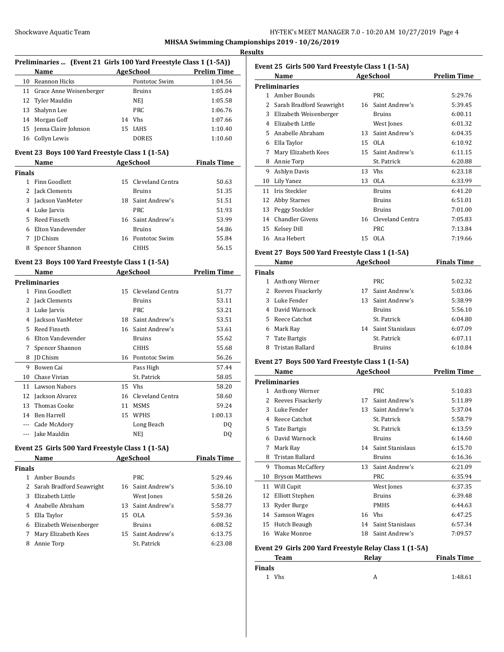### **Results**

|    | Preliminaries  (Event 21 Girls 100 Yard Freestyle Class 1 (1-5A)) |    |                  |                    |  |
|----|-------------------------------------------------------------------|----|------------------|--------------------|--|
|    | <b>Name</b>                                                       |    | <b>AgeSchool</b> | <b>Prelim Time</b> |  |
| 10 | Reannon Hicks                                                     |    | Pontotoc Swim    | 1:04.56            |  |
|    | 11 Grace Anne Weisenberger                                        |    | <b>Bruins</b>    | 1:05.04            |  |
|    | 12 Tyler Mauldin                                                  |    | NEJ              | 1:05.58            |  |
|    | 13 Shalynn Lee                                                    |    | PRC.             | 1:06.76            |  |
|    | 14 Morgan Goff                                                    | 14 | <b>Vhs</b>       | 1:07.66            |  |
|    | 15 Jenna Claire Johnson                                           |    | 15 IAHS          | 1:10.40            |  |
| 16 | Collyn Lewis                                                      |    | <b>DORES</b>     | 1:10.60            |  |

### **Event 23 Boys 100 Yard Freestyle Class 1 (1-5A)**

|               | Name                | <b>AgeSchool</b> |                     | <b>Finals Time</b> |
|---------------|---------------------|------------------|---------------------|--------------------|
| <b>Finals</b> |                     |                  |                     |                    |
|               | Finn Goodlett       |                  | 15 Cleveland Centra | 50.63              |
| $\mathbf{Z}$  | Jack Clements       |                  | <b>Bruins</b>       | 51.35              |
|               | 3 Jackson VanMeter  |                  | 18 Saint Andrew's   | 51.51              |
|               | 4 Luke Jarvis       |                  | PRC                 | 51.93              |
|               | 5 Reed Finseth      |                  | 16 Saint Andrew's   | 53.99              |
|               | 6 Elton Vandevender |                  | <b>Bruins</b>       | 54.86              |
|               | <b>ID</b> Chism     |                  | 16 Pontotoc Swim    | 55.84              |
| 8             | Spencer Shannon     |                  | <b>CHHS</b>         | 56.15              |

## **Event 23 Boys 100 Yard Freestyle Class 1 (1-5A)**

|          | Name                 |    | <b>AgeSchool</b> | Prelim Time |
|----------|----------------------|----|------------------|-------------|
|          | <b>Preliminaries</b> |    |                  |             |
| 1.       | Finn Goodlett        | 15 | Cleveland Centra | 51.77       |
| 2        | Jack Clements        |    | <b>Bruins</b>    | 53.11       |
| 3        | Luke Jarvis          |    | <b>PRC</b>       | 53.21       |
| 4        | Jackson VanMeter     | 18 | Saint Andrew's   | 53.51       |
| 5        | Reed Finseth         | 16 | Saint Andrew's   | 53.61       |
| 6        | Elton Vandevender    |    | <b>Bruins</b>    | 55.62       |
| 7        | Spencer Shannon      |    | <b>CHHS</b>      | 55.68       |
| 8        | <b>ID</b> Chism      | 16 | Pontotoc Swim    | 56.26       |
| 9        | Bowen Cai            |    | Pass High        | 57.44       |
| 10       | Chase Vivian         |    | St. Patrick      | 58.05       |
| 11       | <b>Lawson Nabors</b> | 15 | <b>Vhs</b>       | 58.20       |
| 12       | Jackson Alvarez      | 16 | Cleveland Centra | 58.60       |
| 13       | Thomas Cooke         | 11 | <b>MSMS</b>      | 59.24       |
| 14       | Ben Harrell          | 15 | <b>WPHS</b>      | 1:00.13     |
| $---$    | Cade McAdory         |    | Long Beach       | DQ          |
| $\cdots$ | Jake Mauldin         |    | NEJ              | DQ          |

## **Event 25 Girls 500 Yard Freestyle Class 1 (1-5A) Name AgeSchool Finals Time**

| <b>Finals</b> |                            |    |                   |         |
|---------------|----------------------------|----|-------------------|---------|
|               | Amber Bounds               |    | PRC.              | 5:29.46 |
|               | 2 Sarah Bradford Seawright |    | 16 Saint Andrew's | 5:36.10 |
| 3             | Elizabeth Little           |    | West Jones        | 5:58.26 |
|               | 4 Anabelle Abraham         |    | 13 Saint Andrew's | 5:58.77 |
| 5.            | Ella Taylor                | 15 | OLA               | 5:59.36 |
| 6             | Elizabeth Weisenberger     |    | <b>Bruins</b>     | 6:08.52 |
| 7             | Mary Elizabeth Kees        |    | 15 Saint Andrew's | 6:13.75 |
| 8             | Annie Torp                 |    | St. Patrick       | 6:23.08 |

| Event 25 Girls 500 Yard Freestyle Class 1 (1-5A) |                          |    |                  |             |
|--------------------------------------------------|--------------------------|----|------------------|-------------|
|                                                  | Name                     |    | AgeSchool        | Prelim Time |
|                                                  | <b>Preliminaries</b>     |    |                  |             |
| 1                                                | Amber Bounds             |    | PRC              | 5:29.76     |
| 2                                                | Sarah Bradford Seawright | 16 | Saint Andrew's   | 5:39.45     |
| 3                                                | Elizabeth Weisenberger   |    | <b>Bruins</b>    | 6:00.11     |
| 4                                                | Elizabeth Little         |    | West Jones       | 6:01.32     |
| 5                                                | Anabelle Abraham         | 13 | Saint Andrew's   | 6:04.35     |
| 6                                                | Ella Taylor              | 15 | OLA              | 6:10.92     |
| 7                                                | Mary Elizabeth Kees      | 15 | Saint Andrew's   | 6:11.15     |
| 8                                                | Annie Torp               |    | St. Patrick      | 6:20.88     |
| 9                                                | Ashlyn Davis             | 13 | <b>Vhs</b>       | 6:23.18     |
| 10                                               | Lily Yanez               | 13 | OLA              | 6:33.99     |
| 11                                               | Iris Steckler            |    | <b>Bruins</b>    | 6:41.20     |
| 12                                               | <b>Abby Starnes</b>      |    | <b>Bruins</b>    | 6:51.01     |
| 13                                               | Peggy Steckler           |    | <b>Bruins</b>    | 7:01.00     |
| 14                                               | Chandler Givens          | 16 | Cleveland Centra | 7:05.83     |
| 15                                               | Kelsey Dill              |    | <b>PRC</b>       | 7:13.84     |
| 16                                               | Ana Hebert               | 15 | OLA              | 7:19.66     |
|                                                  |                          |    |                  |             |

## **Event 27 Boys 500 Yard Freestyle Class 1 (1-5A)**

| Name                | AgeSchool |               | <b>Finals Time</b>                                            |
|---------------------|-----------|---------------|---------------------------------------------------------------|
| <b>Finals</b>       |           |               |                                                               |
| Anthony Werner      |           | PRC.          | 5:02.32                                                       |
| 2 Reeves Fisackerly |           |               | 5:03.06                                                       |
| Luke Fender<br>3.   |           |               | 5:38.99                                                       |
| 4 David Warnock     |           | <b>Bruins</b> | 5:56.10                                                       |
| 5 Reece Catchot     |           | St. Patrick   | 6:04.80                                                       |
| Mark Ray            |           |               | 6:07.09                                                       |
| Tate Bartgis        |           | St. Patrick   | 6:07.11                                                       |
| Tristan Ballard     |           | <b>Bruins</b> | 6:10.84                                                       |
|                     |           |               | 17 Saint Andrew's<br>13 Saint Andrew's<br>14 Saint Stanislaus |

# **Event 27 Boys 500 Yard Freestyle Class 1 (1-5A)**

|              | Name                   |    | AgeSchool        | Prelim Time |
|--------------|------------------------|----|------------------|-------------|
|              | <b>Preliminaries</b>   |    |                  |             |
| $\mathbf{1}$ | Anthony Werner         |    | PRC.             | 5:10.83     |
| 2            | Reeves Fisackerly      | 17 | Saint Andrew's   | 5:11.89     |
| 3            | Luke Fender            | 13 | Saint Andrew's   | 5:37.04     |
| 4            | Reece Catchot          |    | St. Patrick      | 5:58.79     |
| 5            | Tate Bartgis           |    | St. Patrick      | 6:13.59     |
| 6            | David Warnock          |    | <b>Bruins</b>    | 6:14.60     |
| 7            | Mark Ray               | 14 | Saint Stanislaus | 6:15.70     |
| 8            | Tristan Ballard        |    | <b>Bruins</b>    | 6:16.36     |
| 9            | Thomas McCaffery       | 13 | Saint Andrew's   | 6:21.09     |
| 10           | <b>Bryson Matthews</b> |    | <b>PRC</b>       | 6:35.94     |
| 11           | Will Cupit             |    | West Jones       | 6:37.35     |
| 12           | <b>Elliott Stephen</b> |    | <b>Bruins</b>    | 6:39.48     |
| 13           | Ryder Burge            |    | <b>PMHS</b>      | 6:44.63     |
| 14           | Samson Wages           | 16 | <b>Vhs</b>       | 6:47.25     |
| 15           | Hutch Beaugh           | 14 | Saint Stanislaus | 6:57.34     |
| 16           | Wake Monroe            | 18 | Saint Andrew's   | 7:09.57     |
|              |                        |    |                  |             |

# **Event 29 Girls 200 Yard Freestyle Relay Class 1 (1-5A)**

| Relav<br>Team |  | <b>Finals Time</b> |  |
|---------------|--|--------------------|--|
| <b>Finals</b> |  |                    |  |
| <b>Vhs</b>    |  | 1:48.61            |  |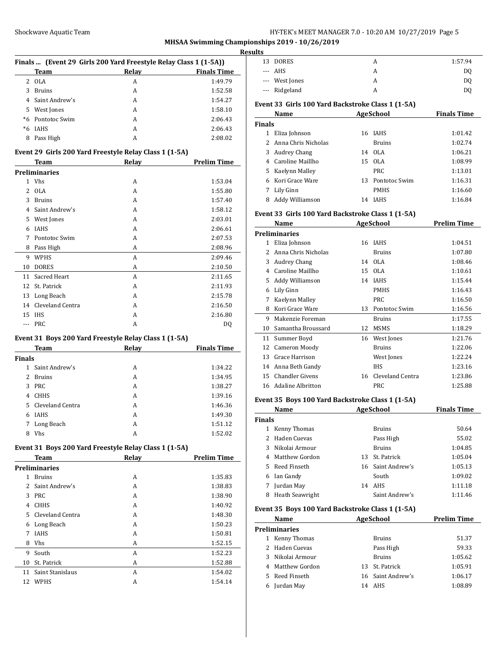## Shockwave Aquatic Team **HY-TEK's MEET MANAGER 7.0 - 10:20 AM 10/27/2019** Page 5

**MHSAA Swimming Championships 2019 - 10/26/2019**

#### **Results**

| Finals  (Event 29 Girls 200 Yard Freestyle Relay Class 1 (1-5A)) |                |       |                    |  |
|------------------------------------------------------------------|----------------|-------|--------------------|--|
|                                                                  | Team           | Relay | <b>Finals Time</b> |  |
| 2.                                                               | 0LA            | A     | 1:49.79            |  |
| 3                                                                | <b>Bruins</b>  | А     | 1:52.58            |  |
|                                                                  | Saint Andrew's | A     | 1:54.27            |  |
| 5.                                                               | West Jones     | A     | 1:58.10            |  |
| $*6$                                                             | Pontotoc Swim  | А     | 2:06.43            |  |
| *6                                                               | <b>IAHS</b>    | А     | 2:06.43            |  |
| 8                                                                | Pass High      | А     | 2:08.02            |  |

#### **Event 29 Girls 200 Yard Freestyle Relay Class 1 (1-5A)**

|    | <b>Team</b>          | Relay | <b>Prelim Time</b> |
|----|----------------------|-------|--------------------|
|    | <b>Preliminaries</b> |       |                    |
| 1  | <b>Vhs</b>           | A     | 1:53.04            |
| 2  | <b>OLA</b>           | A     | 1:55.80            |
| 3  | <b>Bruins</b>        | A     | 1:57.40            |
| 4  | Saint Andrew's       | A     | 1:58.12            |
| 5  | West Jones           | A     | 2:03.01            |
| 6  | <b>IAHS</b>          | A     | 2:06.61            |
| 7  | Pontotoc Swim        | A     | 2:07.53            |
| 8  | Pass High            | A     | 2:08.96            |
| 9  | <b>WPHS</b>          | A     | 2:09.46            |
| 10 | <b>DORES</b>         | A     | 2:10.50            |
| 11 | Sacred Heart         | A     | 2:11.65            |
| 12 | St. Patrick          | A     | 2:11.93            |
| 13 | Long Beach           | A     | 2:15.78            |
| 14 | Cleveland Centra     | A     | 2:16.50            |
| 15 | <b>IHS</b>           | A     | 2:16.80            |
|    | <b>PRC</b>           | A     | DQ                 |
|    |                      |       |                    |

# **Event 31 Boys 200 Yard Freestyle Relay Class 1 (1-5A)**

|        | Team               | Relav | <b>Finals Time</b> |
|--------|--------------------|-------|--------------------|
| Finals |                    |       |                    |
| 1.     | Saint Andrew's     | A     | 1:34.22            |
| 2      | Bruins             | A     | 1:34.95            |
| 3      | PRC                | A     | 1:38.27            |
| 4      | <b>CHHS</b>        | A     | 1:39.16            |
|        | 5 Cleveland Centra | A     | 1:46.36            |
| 6      | <b>IAHS</b>        | A     | 1:49.30            |
| 7      | Long Beach         | A     | 1:51.12            |
| 8      | Vhs                | A     | 1:52.02            |

## **Event 31 Boys 200 Yard Freestyle Relay Class 1 (1-5A)**

|    | Team                 | Relay | <b>Prelim Time</b> |
|----|----------------------|-------|--------------------|
|    | <b>Preliminaries</b> |       |                    |
| 1  | <b>Bruins</b>        | A     | 1:35.83            |
| 2  | Saint Andrew's       | A     | 1:38.83            |
| 3  | PRC                  | A     | 1:38.90            |
| 4  | <b>CHHS</b>          | A     | 1:40.92            |
| 5. | Cleveland Centra     | A     | 1:48.30            |
| 6  | Long Beach           | A     | 1:50.23            |
| 7  | <b>IAHS</b>          | A     | 1:50.81            |
| 8  | <b>Vhs</b>           | A     | 1:52.15            |
| 9  | South                | A     | 1:52.23            |
| 10 | St. Patrick          | A     | 1:52.88            |
| 11 | Saint Stanislaus     | A     | 1:54.02            |
| 12 | <b>WPHS</b>          | A     | 1:54.14            |

| யக |                |   |                |
|----|----------------|---|----------------|
|    | 13 DORES       | A | 1:57.94        |
|    | --- AHS        | А | D <sub>0</sub> |
|    | --- West Jones | А | D <sub>0</sub> |
|    | --- Ridgeland  |   | D <sub>0</sub> |
|    |                |   |                |

# **Event 33 Girls 100 Yard Backstroke Class 1 (1-5A)**

|               | Name                  | AgeSchool |               | <b>Finals Time</b> |  |
|---------------|-----------------------|-----------|---------------|--------------------|--|
| <b>Finals</b> |                       |           |               |                    |  |
|               | Eliza Johnson         |           | 16 IAHS       | 1:01.42            |  |
|               | 2 Anna Chris Nicholas |           | <b>Bruins</b> | 1:02.74            |  |
| 3             | Audrey Chang          |           | 14 OLA        | 1:06.21            |  |
|               | 4 Caroline Maillho    |           | 15 OLA        | 1:08.99            |  |
|               | 5 Kaelynn Malley      |           | <b>PRC</b>    | 1:13.01            |  |
|               | Kori Grace Ware       | 13        | Pontotoc Swim | 1:16.31            |  |
| 7             | Lily Ginn             |           | <b>PMHS</b>   | 1:16.60            |  |
| 8             | Addy Williamson       | 14        | <b>IAHS</b>   | 1:16.84            |  |

## **Event 33 Girls 100 Yard Backstroke Class 1 (1-5A)**

|    | Name                   |    | AgeSchool        | <b>Prelim Time</b> |
|----|------------------------|----|------------------|--------------------|
|    | Preliminaries          |    |                  |                    |
| 1  | Eliza Johnson          | 16 | <b>IAHS</b>      | 1:04.51            |
| 2  | Anna Chris Nicholas    |    | <b>Bruins</b>    | 1:07.80            |
| 3  | <b>Audrey Chang</b>    | 14 | OLA.             | 1:08.46            |
| 4  | Caroline Maillho       | 15 | 0LA              | 1:10.61            |
| 5  | Addy Williamson        | 14 | IAHS             | 1:15.44            |
| 6  | Lily Ginn              |    | <b>PMHS</b>      | 1:16.43            |
| 7  | Kaelynn Malley         |    | <b>PRC</b>       | 1:16.50            |
| 8  | Kori Grace Ware        | 13 | Pontotoc Swim    | 1:16.56            |
| 9  | Makenzie Foreman       |    | <b>Bruins</b>    | 1:17.55            |
| 10 | Samantha Broussard     | 12 | <b>MSMS</b>      | 1:18.29            |
| 11 | Summer Boyd            | 16 | West Jones       | 1:21.76            |
| 12 | Cameron Moody          |    | <b>Bruins</b>    | 1:22.06            |
| 13 | Grace Harrison         |    | West Jones       | 1:22.24            |
| 14 | Anna Beth Gandy        |    | <b>IHS</b>       | 1:23.16            |
| 15 | <b>Chandler Givens</b> | 16 | Cleveland Centra | 1:23.86            |
| 16 | Adaline Albritton      |    | <b>PRC</b>       | 1:25.88            |

### **Event 35 Boys 100 Yard Backstroke Class 1 (1-5A)**

|               | Name                   | <b>AgeSchool</b> |                   | <b>Finals Time</b> |
|---------------|------------------------|------------------|-------------------|--------------------|
| <b>Finals</b> |                        |                  |                   |                    |
| 1             | Kenny Thomas           |                  | <b>Bruins</b>     | 50.64              |
| $2^{\circ}$   | Haden Cuevas           |                  | Pass High         | 55.02              |
| 3             | Nikolai Armour         |                  | <b>Bruins</b>     | 1:04.85            |
|               | 4 Matthew Gordon       | 13               | St. Patrick       | 1:05.04            |
|               | 5 Reed Finseth         |                  | 16 Saint Andrew's | 1:05.13            |
| 6             | Ian Gandy              |                  | South             | 1:09.02            |
| 7             | Jurdan May             | 14               | AHS               | 1:11.18            |
| 8             | <b>Heath Seawright</b> |                  | Saint Andrew's    | 1:11.46            |

#### **Event 35 Boys 100 Yard Backstroke Class 1 (1-5A)**

|    | Name           | <b>AgeSchool</b> | <b>Prelim Time</b> |         |
|----|----------------|------------------|--------------------|---------|
|    | Preliminaries  |                  |                    |         |
|    | Kenny Thomas   |                  | <b>Bruins</b>      | 51.37   |
|    | 2 Haden Cuevas |                  | Pass High          | 59.33   |
| 3  | Nikolai Armour |                  | <b>Bruins</b>      | 1:05.62 |
| 4  | Matthew Gordon |                  | 13 St. Patrick     | 1:05.91 |
| 5. | Reed Finseth   |                  | 16 Saint Andrew's  | 1:06.17 |
| 6  | Jurdan May     | 14               | AHS                | 1:08.89 |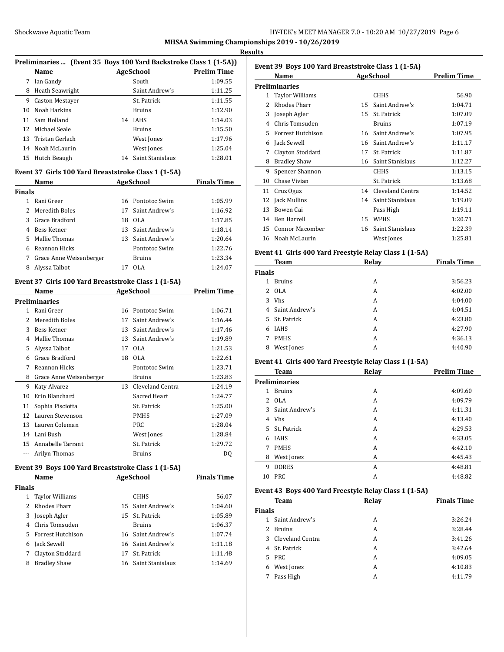#### **Results**

| Preliminaries  (Event 35 Boys 100 Yard Backstroke Class 1 (1-5A)) |                        |    |                  |                    |
|-------------------------------------------------------------------|------------------------|----|------------------|--------------------|
|                                                                   | <b>Name</b>            |    | <b>AgeSchool</b> | <b>Prelim Time</b> |
| 7                                                                 | Ian Gandy              |    | South            | 1:09.55            |
| 8                                                                 | Heath Seawright        |    | Saint Andrew's   | 1:11.25            |
| 9                                                                 | <b>Caston Mestayer</b> |    | St. Patrick      | 1:11.55            |
| 10                                                                | Noah Harkins           |    | <b>Bruins</b>    | 1:12.90            |
| 11                                                                | Sam Holland            |    | 14 IAHS          | 1:14.03            |
| 12.                                                               | Michael Seale          |    | <b>Bruins</b>    | 1:15.50            |
| 13                                                                | Tristan Gerlach        |    | West Jones       | 1:17.96            |
|                                                                   | 14 Noah McLaurin       |    | West Jones       | 1:25.04            |
| 15                                                                | Hutch Beaugh           | 14 | Saint Stanislaus | 1:28.01            |

## **Event 37 Girls 100 Yard Breaststroke Class 1 (1-5A)**

|               | Name                    | <b>AgeSchool</b> |                  | <b>Finals Time</b> |
|---------------|-------------------------|------------------|------------------|--------------------|
| <b>Finals</b> |                         |                  |                  |                    |
|               | Rani Greer              |                  | 16 Pontotoc Swim | 1:05.99            |
|               | 2 Meredith Boles        | 17               | Saint Andrew's   | 1:16.92            |
| 3             | Grace Bradford          | 18               | OLA              | 1:17.85            |
| 4             | Bess Ketner             | 13               | Saint Andrew's   | 1:18.14            |
| 5.            | Mallie Thomas           | 13.              | Saint Andrew's   | 1:20.64            |
|               | Reannon Hicks           |                  | Pontotoc Swim    | 1:22.76            |
| 7             | Grace Anne Weisenberger |                  | <b>Bruins</b>    | 1:23.34            |
| 8             | Alyssa Talbot           |                  | OLA              | 1:24.07            |

### **Event 37 Girls 100 Yard Breaststroke Class 1 (1-5A)**

|    | Name                    |    | <b>AgeSchool</b> | <b>Prelim Time</b> |
|----|-------------------------|----|------------------|--------------------|
|    | <b>Preliminaries</b>    |    |                  |                    |
| 1. | Rani Greer              | 16 | Pontotoc Swim    | 1:06.71            |
| 2  | Meredith Boles          | 17 | Saint Andrew's   | 1:16.44            |
| 3  | Bess Ketner             | 13 | Saint Andrew's   | 1:17.46            |
| 4  | Mallie Thomas           | 13 | Saint Andrew's   | 1:19.89            |
| 5  | Alyssa Talbot           | 17 | 0LA              | 1:21.53            |
| 6  | Grace Bradford          | 18 | 0LA              | 1:22.61            |
| 7  | Reannon Hicks           |    | Pontotoc Swim    | 1:23.71            |
| 8  | Grace Anne Weisenberger |    | Bruins           | 1:23.83            |
| 9  | Katy Alvarez            | 13 | Cleveland Centra | 1:24.19            |
| 10 | Erin Blanchard          |    | Sacred Heart     | 1:24.77            |
| 11 | Sophia Pisciotta        |    | St. Patrick      | 1:25.00            |
| 12 | Lauren Stevenson        |    | <b>PMHS</b>      | 1:27.09            |
| 13 | Lauren Coleman          |    | PRC              | 1:28.04            |
| 14 | Lani Bush               |    | West Jones       | 1:28.84            |
| 15 | Annabelle Tarrant       |    | St. Patrick      | 1:29.72            |
|    | Arilyn Thomas           |    | Bruins           | DQ                 |

# **Event 39 Boys 100 Yard Breaststroke Class 1 (1-5A)**

|               | Name                | <b>AgeSchool</b> |                     | <b>Finals Time</b> |
|---------------|---------------------|------------------|---------------------|--------------------|
| <b>Finals</b> |                     |                  |                     |                    |
|               | Taylor Williams     |                  | <b>CHHS</b>         | 56.07              |
| $2^{\circ}$   | Rhodes Pharr        |                  | 15 Saint Andrew's   | 1:04.60            |
|               | 3 Joseph Agler      |                  | 15 St. Patrick      | 1:05.89            |
|               | Chris Tomsuden      |                  | <b>Bruins</b>       | 1:06.37            |
|               | 5 Forrest Hutchison |                  | 16 Saint Andrew's   | 1:07.74            |
| 6             | Jack Sewell         |                  | 16 Saint Andrew's   | 1:11.18            |
|               | Clayton Stoddard    | 17               | St. Patrick         | 1:11.48            |
| 8             | <b>Bradley Shaw</b> |                  | 16 Saint Stanislaus | 1:14.69            |

| Event 39 Boys 100 Yard Breaststroke Class 1 (1-5A) |                        |           |                  |                    |  |  |
|----------------------------------------------------|------------------------|-----------|------------------|--------------------|--|--|
|                                                    | Name                   | AgeSchool |                  | <b>Prelim Time</b> |  |  |
| <b>Preliminaries</b>                               |                        |           |                  |                    |  |  |
| $\mathbf{1}$                                       | <b>Taylor Williams</b> |           | <b>CHHS</b>      | 56.90              |  |  |
| $\mathfrak{D}$                                     | <b>Rhodes Pharr</b>    | 15        | Saint Andrew's   | 1:04.71            |  |  |
| 3                                                  | Joseph Agler           | 15        | St. Patrick      | 1:07.09            |  |  |
| 4                                                  | Chris Tomsuden         |           | <b>Bruins</b>    | 1:07.19            |  |  |
| 5                                                  | Forrest Hutchison      | 16        | Saint Andrew's   | 1:07.95            |  |  |
| 6                                                  | Jack Sewell            | 16        | Saint Andrew's   | 1:11.17            |  |  |
| 7                                                  | Clayton Stoddard       | 17        | St. Patrick      | 1:11.87            |  |  |
| 8                                                  | <b>Bradley Shaw</b>    | 16        | Saint Stanislaus | 1:12.27            |  |  |
| 9                                                  | Spencer Shannon        |           | CHHS             | 1:13.15            |  |  |
| 10                                                 | Chase Vivian           |           | St. Patrick      | 1:13.68            |  |  |
| 11                                                 | Cruz Oguz              | 14        | Cleveland Centra | 1:14.52            |  |  |
| 12                                                 | Jack Mullins           | 14        | Saint Stanislaus | 1:19.09            |  |  |
| 13                                                 | Bowen Cai              |           | Pass High        | 1:19.11            |  |  |
| 14                                                 | <b>Ben Harrell</b>     | 15        | <b>WPHS</b>      | 1:20.71            |  |  |
| 15                                                 | <b>Connor Macomber</b> | 16        | Saint Stanislaus | 1:22.39            |  |  |
| 16                                                 | Noah McLaurin          |           | West Jones       | 1:25.81            |  |  |

### **Event 41 Girls 400 Yard Freestyle Relay Class 1 (1-5A)**

|               | <b>Team</b>    | Relay | <b>Finals Time</b> |  |
|---------------|----------------|-------|--------------------|--|
| <b>Finals</b> |                |       |                    |  |
|               | <b>Bruins</b>  | A     | 3:56.23            |  |
| 2             | 0LA            | A     | 4:02.00            |  |
| 3             | <b>Vhs</b>     | A     | 4:04.00            |  |
| 4             | Saint Andrew's | A     | 4:04.51            |  |
| 5.            | St. Patrick    | A     | 4:23.80            |  |
| 6             | <b>IAHS</b>    | A     | 4:27.90            |  |
| 7             | <b>PMHS</b>    | A     | 4:36.13            |  |
| 8             | West Jones     | А     | 4:40.90            |  |

## **Event 41 Girls 400 Yard Freestyle Relay Class 1 (1-5A)**

|               | <b>Team</b>    | Relay | <b>Prelim Time</b> |  |
|---------------|----------------|-------|--------------------|--|
| Preliminaries |                |       |                    |  |
| 1             | <b>Bruins</b>  | A     | 4:09.60            |  |
| 2             | 0LA            | A     | 4:09.79            |  |
| 3             | Saint Andrew's | A     | 4:11.31            |  |
| 4             | <b>Vhs</b>     | A     | 4:13.40            |  |
| 5.            | St. Patrick    | A     | 4:29.53            |  |
| 6             | <b>IAHS</b>    | A     | 4:33.05            |  |
| 7             | <b>PMHS</b>    | A     | 4:42.10            |  |
| 8             | West Jones     | A     | 4:45.43            |  |
| 9             | <b>DORES</b>   | A     | 4:48.81            |  |
| 10            | <b>PRC</b>     | A     | 4:48.82            |  |

#### **Event 43 Boys 400 Yard Freestyle Relay Class 1 (1-5A)**

|                | Team             | Relay | <b>Finals Time</b> |
|----------------|------------------|-------|--------------------|
| <b>Finals</b>  |                  |       |                    |
| 1.             | Saint Andrew's   | A     | 3:26.24            |
| $\overline{2}$ | <b>Bruins</b>    | A     | 3:28.44            |
| 3              | Cleveland Centra | A     | 3:41.26            |
|                | 4 St. Patrick    | A     | 3:42.64            |
| 5.             | PRC              | A     | 4:09.05            |
| 6              | West Jones       | A     | 4:10.83            |
| 7              | Pass High        | A     | 4:11.79            |